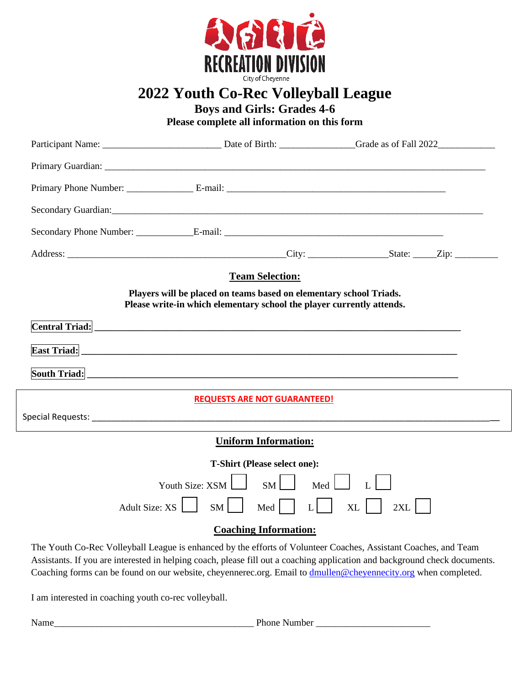

## **2022 Youth Co-Rec Volleyball League**

**Boys and Girls: Grades 4-6**

**Please complete all information on this form**

|                                  | <b>Team Selection:</b>                                                                                                                                                                                                         |                                                                                                               |
|----------------------------------|--------------------------------------------------------------------------------------------------------------------------------------------------------------------------------------------------------------------------------|---------------------------------------------------------------------------------------------------------------|
|                                  | Players will be placed on teams based on elementary school Triads.<br>Please write-in which elementary school the player currently attends.                                                                                    |                                                                                                               |
|                                  | Central Triad: The Contral Triad: The Contract of the Contract of the Contract of the Contract of the Contract of the Contract of the Contract of the Contract of the Contract of the Contract of the Contract of the Contract |                                                                                                               |
|                                  |                                                                                                                                                                                                                                |                                                                                                               |
|                                  |                                                                                                                                                                                                                                |                                                                                                               |
|                                  |                                                                                                                                                                                                                                |                                                                                                               |
|                                  | <b>REQUESTS ARE NOT GUARANTEED!</b>                                                                                                                                                                                            |                                                                                                               |
|                                  |                                                                                                                                                                                                                                |                                                                                                               |
|                                  | <b>Uniform Information:</b>                                                                                                                                                                                                    |                                                                                                               |
|                                  | <b>T-Shirt (Please select one):</b>                                                                                                                                                                                            |                                                                                                               |
|                                  | SM<br>Youth Size: XSM                                                                                                                                                                                                          | Med                                                                                                           |
| Adult Size: $XS \mid \cdot \mid$ | $SM$  <br>Med                                                                                                                                                                                                                  | $L$  <br>XL<br>2XL                                                                                            |
|                                  | <b>Coaching Information:</b>                                                                                                                                                                                                   |                                                                                                               |
|                                  |                                                                                                                                                                                                                                | The Youth Co-Rec Volleyball League is enhanced by the efforts of Volunteer Coaches Assistant Coaches and Team |

leyball League is enhanced by the efforts of Volunteer Coaches, Assistant Coaches, an Assistants. If you are interested in helping coach, please fill out a coaching application and background check documents. Coaching forms can be found on our website, cheyennerec.org. Email to [dmullen@cheyennecity.org](mailto:dmullen@cheyennecity.org) when completed.

I am interested in coaching youth co-rec volleyball.

Name\_\_\_\_\_\_\_\_\_\_\_\_\_\_\_\_\_\_\_\_\_\_\_\_\_\_\_\_\_\_\_\_\_\_\_\_\_\_\_\_\_\_ Phone Number \_\_\_\_\_\_\_\_\_\_\_\_\_\_\_\_\_\_\_\_\_\_\_\_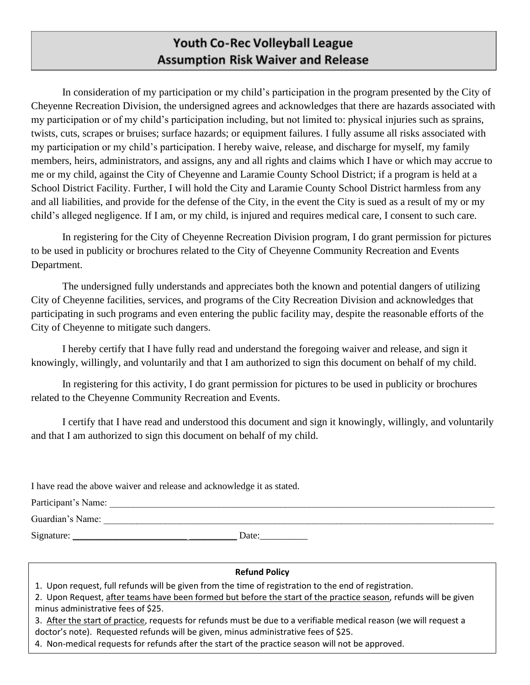## **Youth Co-Rec Volleyball League Assumption Risk Waiver and Release**

In consideration of my participation or my child's participation in the program presented by the City of Cheyenne Recreation Division, the undersigned agrees and acknowledges that there are hazards associated with my participation or of my child's participation including, but not limited to: physical injuries such as sprains, twists, cuts, scrapes or bruises; surface hazards; or equipment failures. I fully assume all risks associated with my participation or my child's participation. I hereby waive, release, and discharge for myself, my family members, heirs, administrators, and assigns, any and all rights and claims which I have or which may accrue to me or my child, against the City of Cheyenne and Laramie County School District; if a program is held at a School District Facility. Further, I will hold the City and Laramie County School District harmless from any and all liabilities, and provide for the defense of the City, in the event the City is sued as a result of my or my child's alleged negligence. If I am, or my child, is injured and requires medical care, I consent to such care.

In registering for the City of Cheyenne Recreation Division program, I do grant permission for pictures to be used in publicity or brochures related to the City of Cheyenne Community Recreation and Events Department.

The undersigned fully understands and appreciates both the known and potential dangers of utilizing City of Cheyenne facilities, services, and programs of the City Recreation Division and acknowledges that participating in such programs and even entering the public facility may, despite the reasonable efforts of the City of Cheyenne to mitigate such dangers.

I hereby certify that I have fully read and understand the foregoing waiver and release, and sign it knowingly, willingly, and voluntarily and that I am authorized to sign this document on behalf of my child.

In registering for this activity, I do grant permission for pictures to be used in publicity or brochures related to the Cheyenne Community Recreation and Events.

I certify that I have read and understood this document and sign it knowingly, willingly, and voluntarily and that I am authorized to sign this document on behalf of my child.

| I have read the above waiver and release and acknowledge it as stated. |  |  |  |  |
|------------------------------------------------------------------------|--|--|--|--|
|------------------------------------------------------------------------|--|--|--|--|

Participant's Name:

Guardian's Name:

Signature: \_\_\_\_\_\_\_\_\_\_\_\_\_\_\_\_\_\_\_\_\_\_\_\_ \_\_\_\_\_\_\_\_\_\_ Date:\_\_\_\_\_\_\_\_\_\_

## **Refund Policy**

- 1. Upon request, full refunds will be given from the time of registration to the end of registration.
- 2. Upon Request, after teams have been formed but before the start of the practice season, refunds will be given minus administrative fees of \$25.
- 3. After the start of practice, requests for refunds must be due to a verifiable medical reason (we will request a doctor's note). Requested refunds will be given, minus administrative fees of \$25.
- 4. Non-medical requests for refunds after the start of the practice season will not be approved.